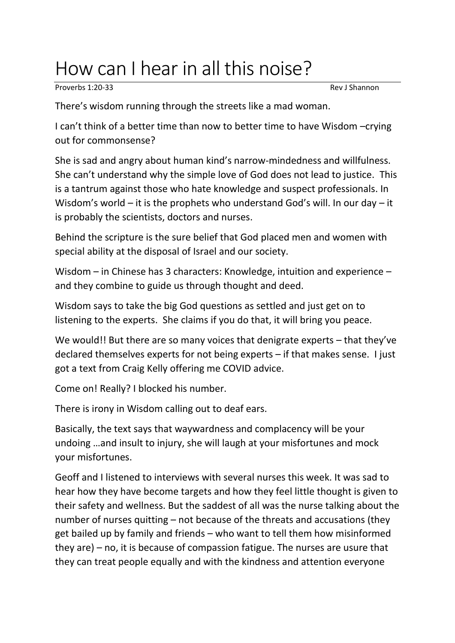## How can I hear in all this noise?

Proverbs 1:20-33 Rev J Shannon

There's wisdom running through the streets like a mad woman.

I can't think of a better time than now to better time to have Wisdom –crying out for commonsense?

She is sad and angry about human kind's narrow-mindedness and willfulness. She can't understand why the simple love of God does not lead to justice. This is a tantrum against those who hate knowledge and suspect professionals. In Wisdom's world – it is the prophets who understand God's will. In our day – it is probably the scientists, doctors and nurses.

Behind the scripture is the sure belief that God placed men and women with special ability at the disposal of Israel and our society.

Wisdom – in Chinese has 3 characters: Knowledge, intuition and experience – and they combine to guide us through thought and deed.

Wisdom says to take the big God questions as settled and just get on to listening to the experts. She claims if you do that, it will bring you peace.

We would!! But there are so many voices that denigrate experts – that they've declared themselves experts for not being experts – if that makes sense. I just got a text from Craig Kelly offering me COVID advice.

Come on! Really? I blocked his number.

There is irony in Wisdom calling out to deaf ears.

Basically, the text says that waywardness and complacency will be your undoing …and insult to injury, she will laugh at your misfortunes and mock your misfortunes.

Geoff and I listened to interviews with several nurses this week. It was sad to hear how they have become targets and how they feel little thought is given to their safety and wellness. But the saddest of all was the nurse talking about the number of nurses quitting – not because of the threats and accusations (they get bailed up by family and friends – who want to tell them how misinformed they are) – no, it is because of compassion fatigue. The nurses are usure that they can treat people equally and with the kindness and attention everyone